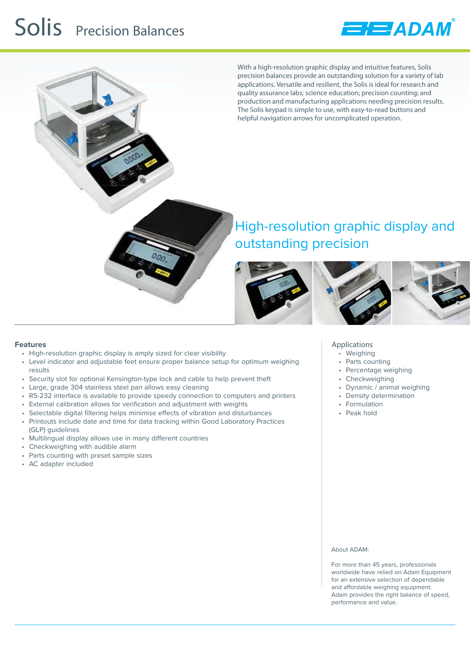# **Solis** Precision Balances



With a high-resolution graphic display and intuitive features, Solis precision balances provide an outstanding solution for a variety of lab applications. Versatile and resilient, the Solis is ideal for research and quality assurance labs; science education; precision counting; and production and manufacturing applications needing precision results. The Solis keypad is simple to use, with easy-to-read buttons and helpful navigation arrows for uncomplicated operation.

# High-resolution graphic display and outstanding precision



- High-resolution graphic display is amply sized for clear visibility
- Level indicator and adjustable feet ensure proper balance setup for optimum weighing results
- Security slot for optional Kensington-type lock and cable to help prevent theft
- Large, grade 304 stainless steel pan allows easy cleaning
- RS-232 interface is available to provide speedy connection to computers and printers
- External calibration allows for verification and adjustment with weights
- Selectable digital filtering helps minimise effects of vibration and disturbances
- Printouts include date and time for data tracking within Good Laboratory Practices (GLP) guidelines
- Multilingual display allows use in many different countries
- Checkweighing with audible alarm
- Parts counting with preset sample sizes
- AC adapter included

#### **Applications**

- Weighing
- Parts counting
- Percentage weighing
- Checkweighing
- Dynamic / animal weighing
- Density determination
- Formulation
- Peak hold

### About ADAM:

For more than 45 years, professionals worldwide have relied on Adam Equipment for an extensive selection of dependable and affordable weighing equipment. Adam provides the right balance of speed, performance and value.